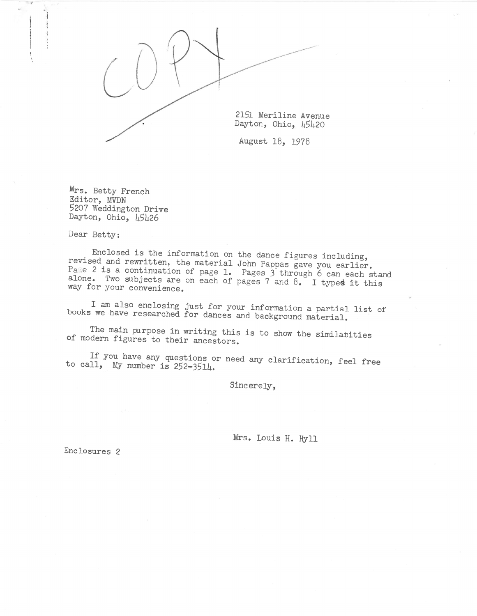

August 18, 1978

Mrs. Betty French<br>Editor, MVDN 5207 Weddington Drive<br>Dayton, Ohio, 45426

Dear Betty:

Enclosed is the information on the dance figures including,<br>revised and rewritten, the material John Pappas gave you earlier.<br>Page 2 is a continuation of page 1. Pages 3 through 6 can each stand<br>alone. Two subjects are on

<sup>I</sup> am also enclosing just for your information <sup>a</sup> partial list of books we have researched for dances and background material.

The main purpose in writing this is to show the similatities of modern figures to their ancestors.

If you have any questions or need any clarification, feel free to call, My number is 252-3514.

Sincerely,

Mrs. Louis H. Hyll

Enclosures 2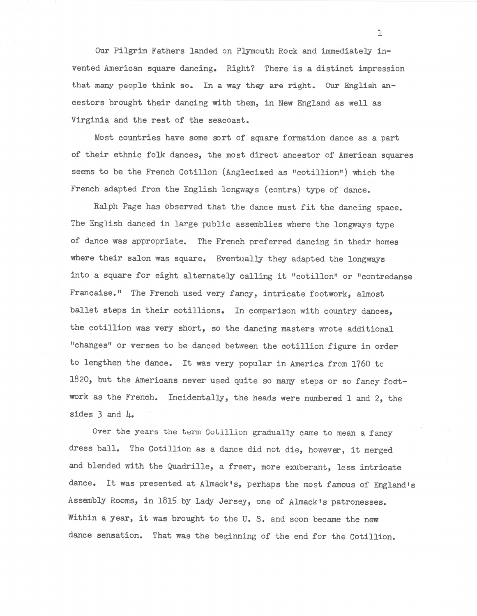Our Pilgrim Fathers landed on Plymouth Rock and immediately invented American square dancing. Right? There is <sup>a</sup> distinct impression that many people think so. In a way they are right. Our English ancestors brought their dancing with them, in New England as well as Virginia and the rest of the seacoast.

Most countries have some sort of square formation dance as <sup>a</sup> par<sup>t</sup> of their ethnic folk dances, the most direct ancestor of American squares seems to be the French Cotillon (Anglecized as "cotillion") which the French adapted from the English longways (contra) type of dance.

Ralph Page has observed that the dance must fit the dancing space. The English danced in large public assemblies where the longways type of dance was appropriate. The French preferred dancing in their homes where their salon was square. Eventually they adapted the longways into a square for eight alternately calling it "cotillon" or "contredanse Francaise." The French used very fancy, intricate footwork, almost ballet steps in their cotillions. In comparison with country dances, the cotillion was very short, so the dancing masters wrote additional "changes" or verses to be danced between the cotillion figure in order to lengthen the dance. It was very popular in America from 1760 to 1820, but the Americans never used quite so many steps or so fancy fodtwork as the French. Incidentally, the heads were numbered 1 and 2, the sides  $3$  and  $\mu_{\bullet}$ 

Over the years the term Cotillion gradually came to mean <sup>a</sup> fancy dress ball. The Cotillion as <sup>a</sup> dance did not die, however, it merged and blended with the Quadrille, <sup>a</sup> freer, more exuberant, less intricate dance. It was presented at Almack's, perhaps the most famous of England's Assembly Rooms, in 1815 by Lady Jersey, one of Almack's patronesses. Within a year, it was brought to the U. S. and soon became the new dance sensation. That was the beginning of the end for the Cotillion.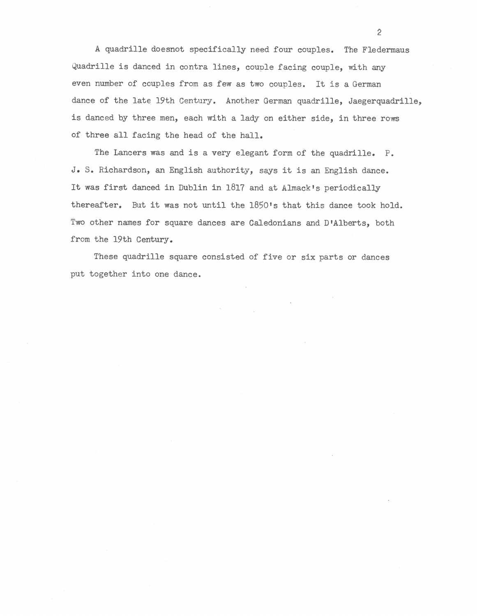A quadrille doesnot specifically need four couples. The Fledermaus Quadrille is danced in contra lines, couple facing couple, with any even number of couples from as few as two couples. It is <sup>a</sup> German dance of the late 19th Century. Another German quadrille, Jaegerquadrille, is danced by three men, each with <sup>a</sup> lady on either side, in three rows of three all facing the head of the hall.

2

The Lancers was and is a very elegant form of the quadrille. P. J. S. Richardson, an English authority, says it is an English dance. It was first danced in Dublin in 1817 and at Almack's periodically thereafter. But it was not until the 1850's that this dance took hold. Two other names for square dances are Caledonians and D'Alberts, both from the 19th Century.

These quadrille square consisted of five or six parts or dances pu<sup>t</sup> together into one dance.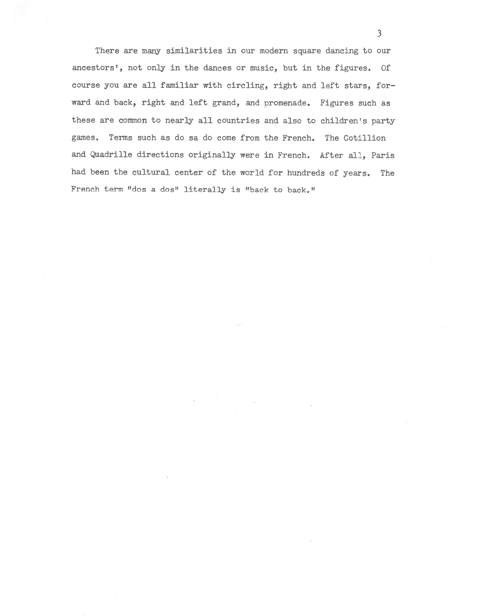There are many similarities in our modern square dancing to our ancestors', not only in the dances or music, but in the figures. Of course you are all familiar with circling, right and left stars, forward and back, right and left grand, and promenade. Figures such as these are common to nearly all countries and also to children's party games. Terms such as do sa do come from the French. The Cotillion and Quadrille directions originally were in French. After all, Paris had been the cultural center of the world for hundreds of years. The French term "dos a dos" literally is "back to back."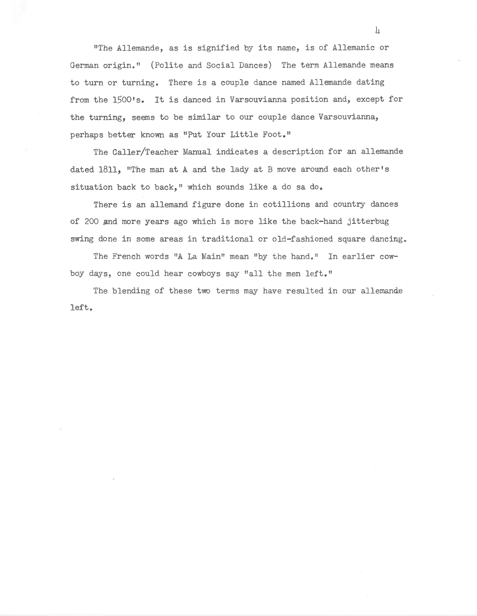"The Allemande, as is signified by its name, is of Allemanic or German origin." (Polite and Social Dances) The term Allemande means to turn or turning. There is <sup>a</sup> couple dance named Allemande dating from the 1500's. It is danced in Varsouvianna position and, excep<sup>t</sup> for the turning, seems to be similar to our couple dance Varsouvianna, perhaps better known as "Put Your Little Foot."

The Caller/Teacher Manual indicates <sup>a</sup> description for an allemande dated 1811, "The man at A and the lady at B move around each other's situation back to back," which sounds like a do sa do.

There is an allemand figure done in cotillions and country dances of 200 more years ago which is more like the back-hand jitterbug swing done in some areas in traditional or old-fashioned square dancing.

The French words "A La Main" mean "by the hand." In earlier cowboy days, one could hear cowboys say "all the men left."

The blending of these two terms may have resulted in our allemande left.

 $\frac{1}{4}$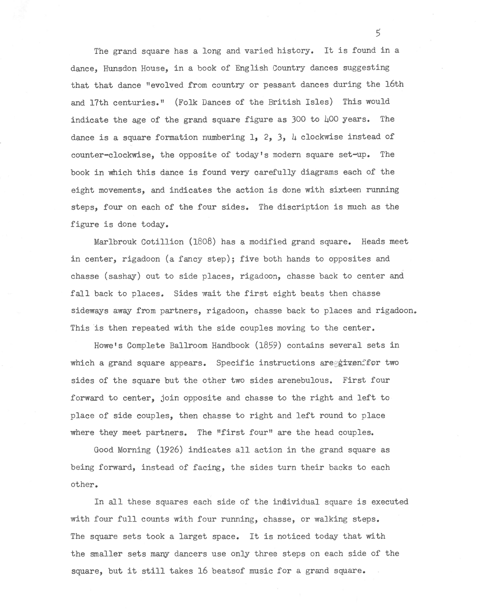The grand square has <sup>a</sup> long and varied history. It is found in <sup>a</sup> dance, Hunsdon House, in <sup>a</sup> book of English Country dances suggesting that that dance "evolved from country or peasan<sup>t</sup> dances during the 16th and 17th centuries." (Folk Dances of the British Isles) This would indicate the age of the grand square figure as  $300$  to  $\mu$ 00 years. The dance is a square formation numbering 1, 2, 3, 4 clockwise instead of counter-clockwise, the opposite of today's modern square set-up. The book in which this dance is found very carefulJy diagrams each of the eight movements, and indicates the action is done with sixteen running steps, four on each of the four sides. The discription is much as the figure is done today.

Marlbrouk Cotillion (1808) has <sup>a</sup> modified grand square. Heads meet in center, rigadoon (a fancy step); five both hands to opposites and chasse (sashay) out to side places, rigadoon, chasse back to center and fall back to places. Sides wait the first eight beats then chasse sideways away from partners, rigadoon, chasse back to places and rigadoon. This is then repeated with the side couples moving to the center.

Howe's Complete Ballroom Handbook (1859) contains several sets in which a grand square appears. Specific instructions areggivenffor two sides of the square but the other two sides arenebulous. First four forward to center, join opposite and chasse to the right and left to place of side couples, then chasse to right and left round to place where they meet partners. The "first four" are the head couples.

Good Morning (1926) indicates all action in the grand square as being forward, instead of facing, the sides turn their backs to each other.

In all these squares each side of the individual square is executed with four full counts with four running, chasse, or walking steps. The square sets took <sup>a</sup> larget space. It is noticed today that with the smaller sets many dancers use only three steps on each side of the square, but it still takes 16 beatsof music for <sup>a</sup> grand square.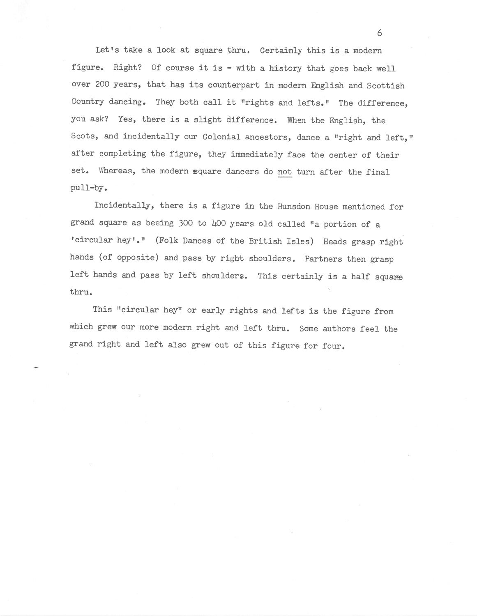Let's take <sup>a</sup> look at square thru. Certainly this is <sup>a</sup> modern figure. Right? Of course it is - with a history that goes back well over 200 years, that has its counterpart in modern English and Scottish Country dancing. They both call it "rights and lefts." The difference, you ask? Yes, there is <sup>a</sup> slight difference. When the English, the Scots, and incidentally our Colonial ancestors, dance a "right and left," after completing the figure, they immediately face the center of their set. Whereas, the modern square dancers do not turn after the final pull-by.

Incidentally, there is <sup>a</sup> figure in the Hunsdon House mentioned for grand square as beeing 300 to  $\mu$ 00 years old called "a portion of a 'circular hey'." (Folk Dances of the British Isles) Heads grasp right hands (of opposite) and pass by right shoulders. Partners then grasp left hands and pass by left shoulders. This certainly is a half square thru.

This "circular hey" or early rights and lefts is the figure from which grew our more modern right and left thru. Some authors feel the grand right and left also grew out of this figure for four.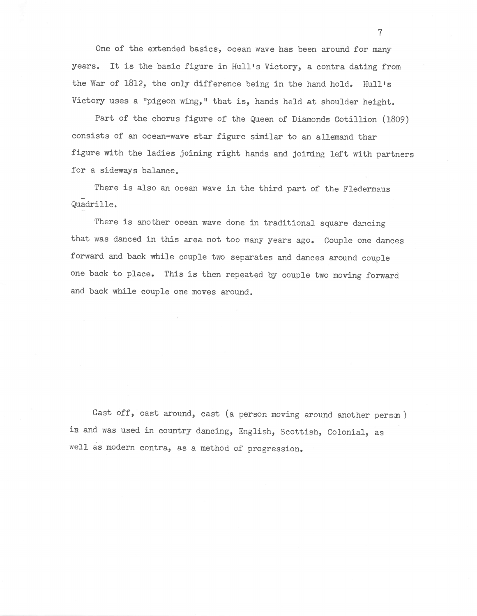One of the extended basics, ocean wave has been around for many years. It is the basic figure in Hull's Victory, a contra dating from the War of 1812, the only difference being in the hand hold. Hull's Victory uses a "pigeon wing," that is, hands held at shoulder height.

Part of the chorus figure of the Queen of Diamonds Cotillion (1809) consists of an ocean-wave star figure similar to an allemand thar figure with the ladies joining right hands and joining left with partners for <sup>a</sup> sideways balance.

There is also an ocean wave in the third par<sup>t</sup> of the Fledermaus - Quadrille.

There is another ocean wave done in traditional square dancing that was danced in this area not too many years ago. Couple one dances forward and back while couple two separates and dances around couple one back to place. This is then repeated by couple two moving forward and back while couple one moves around.

Cast off, cast around, cast (a person moving around another person) is and was used in country dancing, English, Scottish, Colonial, as well as modern contra, as <sup>a</sup> method of progression.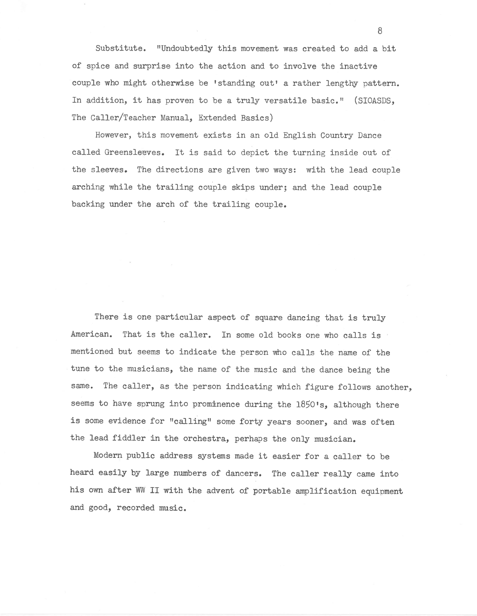Substitute. "Undoubtedly this movement was created to add <sup>a</sup> bit of spice and surprise into the action and to involve the inactive couple who might otherwise be 'standing out' <sup>a</sup> rather lengthy pattern. In addition, it has proven to be a truly versatile basic." (SIOASDS, The Caller/Teacher Manual, Extended Basics)

However, this movement exists in an old English Country Dance called Greensleeves. It is said to depict the turning inside out of the sleeves. The directions are given two ways: with the lead couple arching while the trailing couple skips under; and the lead couple backing under the arch of the trailing couple.

There is one particular aspec<sup>t</sup> of square dancing that is truly American. That is the caller. In some old books one who calls is mentioned but seems to indicate the person who calls the name of the tune to the musicians, the name of the music and the dance being the same. The caller, as the person indicating which figure follows another, seems to have sprung into prominence during the 1850's, although there is some evidence for "calling" some forty years sooner, and was often the lead fiddler in the orchestra, perhaps the only musician.

Modern public address systems made it easier for <sup>a</sup> caller to be heard easily by large numbers of dancers. The caller really came into his own after WN II with the advent of portable amplification equipment and good, recorded music.